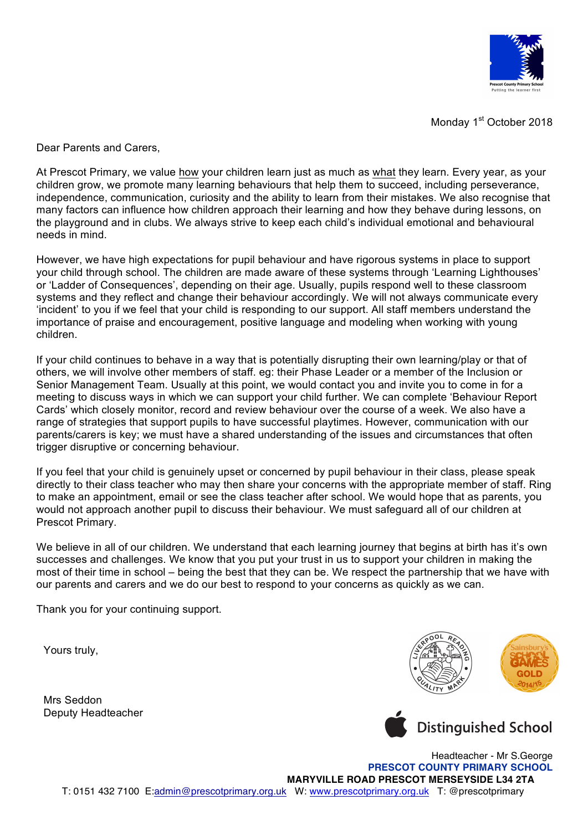

Monday 1<sup>st</sup> October 2018

Dear Parents and Carers,

At Prescot Primary, we value how your children learn just as much as what they learn. Every year, as your children grow, we promote many learning behaviours that help them to succeed, including perseverance, independence, communication, curiosity and the ability to learn from their mistakes. We also recognise that many factors can influence how children approach their learning and how they behave during lessons, on the playground and in clubs. We always strive to keep each child's individual emotional and behavioural needs in mind.

However, we have high expectations for pupil behaviour and have rigorous systems in place to support your child through school. The children are made aware of these systems through 'Learning Lighthouses' or 'Ladder of Consequences', depending on their age. Usually, pupils respond well to these classroom systems and they reflect and change their behaviour accordingly. We will not always communicate every 'incident' to you if we feel that your child is responding to our support. All staff members understand the importance of praise and encouragement, positive language and modeling when working with young children.

If your child continues to behave in a way that is potentially disrupting their own learning/play or that of others, we will involve other members of staff. eg: their Phase Leader or a member of the Inclusion or Senior Management Team. Usually at this point, we would contact you and invite you to come in for a meeting to discuss ways in which we can support your child further. We can complete 'Behaviour Report Cards' which closely monitor, record and review behaviour over the course of a week. We also have a range of strategies that support pupils to have successful playtimes. However, communication with our parents/carers is key; we must have a shared understanding of the issues and circumstances that often trigger disruptive or concerning behaviour.

If you feel that your child is genuinely upset or concerned by pupil behaviour in their class, please speak directly to their class teacher who may then share your concerns with the appropriate member of staff. Ring to make an appointment, email or see the class teacher after school. We would hope that as parents, you would not approach another pupil to discuss their behaviour. We must safeguard all of our children at Prescot Primary.

We believe in all of our children. We understand that each learning journey that begins at birth has it's own successes and challenges. We know that you put your trust in us to support your children in making the most of their time in school – being the best that they can be. We respect the partnership that we have with our parents and carers and we do our best to respond to your concerns as quickly as we can.

Thank you for your continuing support.

Yours truly,

Mrs Seddon Deputy Headteacher



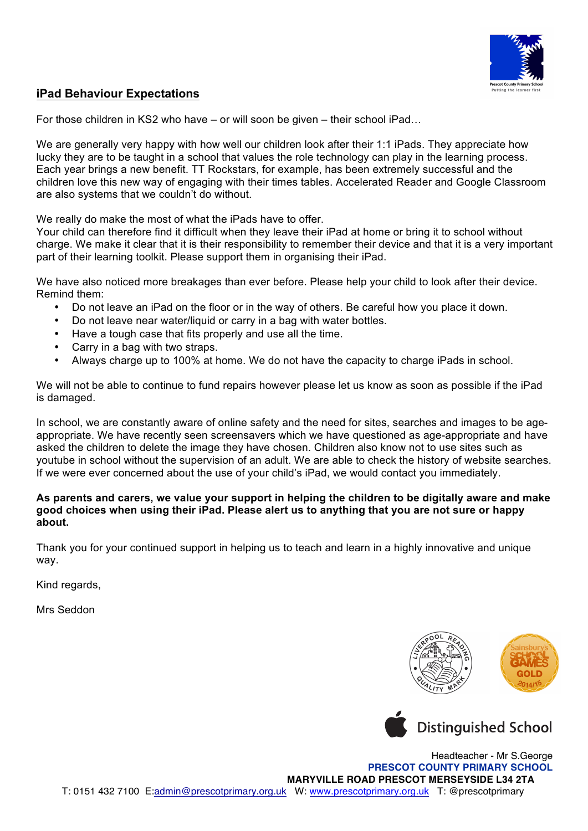

## **iPad Behaviour Expectations**

For those children in KS2 who have – or will soon be given – their school iPad…

We are generally very happy with how well our children look after their 1:1 iPads. They appreciate how lucky they are to be taught in a school that values the role technology can play in the learning process. Each year brings a new benefit. TT Rockstars, for example, has been extremely successful and the children love this new way of engaging with their times tables. Accelerated Reader and Google Classroom are also systems that we couldn't do without.

We really do make the most of what the iPads have to offer.

Your child can therefore find it difficult when they leave their iPad at home or bring it to school without charge. We make it clear that it is their responsibility to remember their device and that it is a very important part of their learning toolkit. Please support them in organising their iPad.

We have also noticed more breakages than ever before. Please help your child to look after their device. Remind them:

- Do not leave an iPad on the floor or in the way of others. Be careful how you place it down.
- Do not leave near water/liquid or carry in a bag with water bottles.
- Have a tough case that fits properly and use all the time.
- Carry in a bag with two straps.
- Always charge up to 100% at home. We do not have the capacity to charge iPads in school.

We will not be able to continue to fund repairs however please let us know as soon as possible if the iPad is damaged.

In school, we are constantly aware of online safety and the need for sites, searches and images to be ageappropriate. We have recently seen screensavers which we have questioned as age-appropriate and have asked the children to delete the image they have chosen. Children also know not to use sites such as youtube in school without the supervision of an adult. We are able to check the history of website searches. If we were ever concerned about the use of your child's iPad, we would contact you immediately.

## **As parents and carers, we value your support in helping the children to be digitally aware and make good choices when using their iPad. Please alert us to anything that you are not sure or happy about.**

Thank you for your continued support in helping us to teach and learn in a highly innovative and unique way.

Kind regards,

Mrs Seddon





Headteacher - Mr S.George **PRESCOT COUNTY PRIMARY SCHOOL MARYVILLE ROAD PRESCOT MERSEYSIDE L34 2TA** T: 0151 432 7100 E:admin@prescotprimary.org.uk W: www.prescotprimary.org.uk T: @prescotprimary